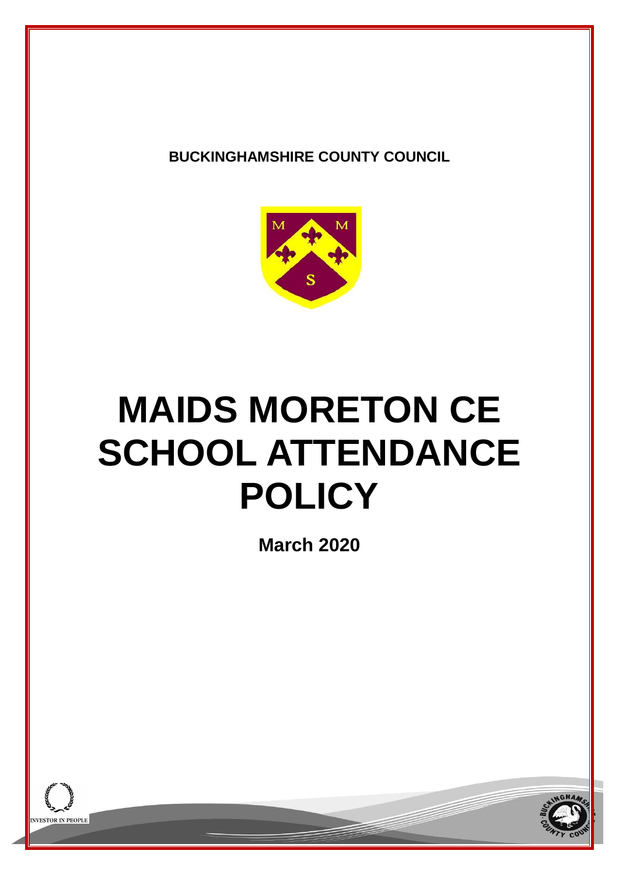**BUCKINGHAMSHIRE COUNTY COUNCIL**



# **MAIDS MORETON CE SCHOOL ATTENDANCE POLICY**

**March 2020**



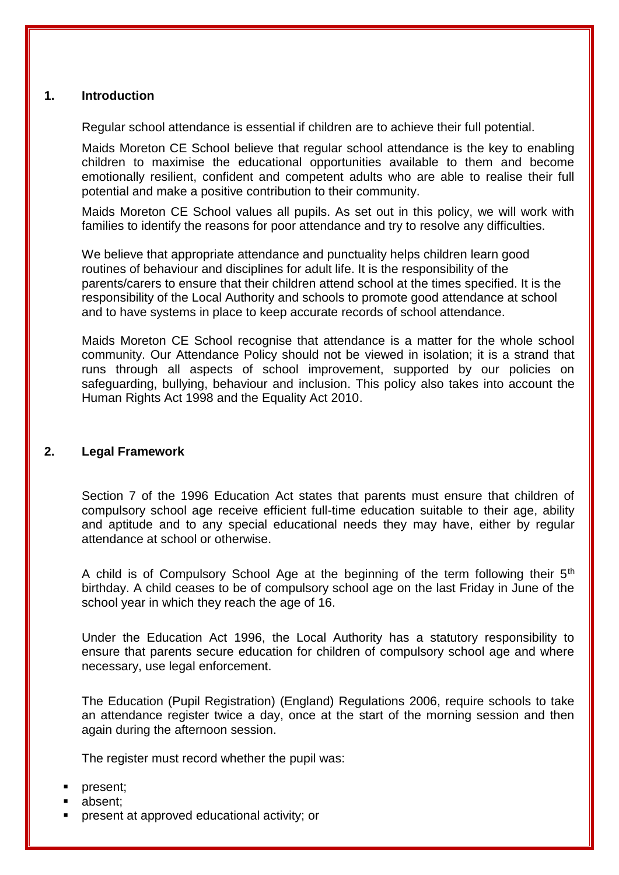## **1. Introduction**

Regular school attendance is essential if children are to achieve their full potential.

Maids Moreton CE School believe that regular school attendance is the key to enabling children to maximise the educational opportunities available to them and become emotionally resilient, confident and competent adults who are able to realise their full potential and make a positive contribution to their community.

Maids Moreton CE School values all pupils. As set out in this policy, we will work with families to identify the reasons for poor attendance and try to resolve any difficulties.

We believe that appropriate attendance and punctuality helps children learn good routines of behaviour and disciplines for adult life. It is the responsibility of the parents/carers to ensure that their children attend school at the times specified. It is the responsibility of the Local Authority and schools to promote good attendance at school and to have systems in place to keep accurate records of school attendance.

Maids Moreton CE School recognise that attendance is a matter for the whole school community. Our Attendance Policy should not be viewed in isolation; it is a strand that runs through all aspects of school improvement, supported by our policies on safeguarding, bullying, behaviour and inclusion. This policy also takes into account the Human Rights Act 1998 and the Equality Act 2010.

# **2. Legal Framework**

Section 7 of the 1996 Education Act states that parents must ensure that children of compulsory school age receive efficient full-time education suitable to their age, ability and aptitude and to any special educational needs they may have, either by regular attendance at school or otherwise.

A child is of Compulsory School Age at the beginning of the term following their  $5<sup>th</sup>$ birthday. A child ceases to be of compulsory school age on the last Friday in June of the school year in which they reach the age of 16.

Under the Education Act 1996, the Local Authority has a statutory responsibility to ensure that parents secure education for children of compulsory school age and where necessary, use legal enforcement.

The Education (Pupil Registration) (England) Regulations 2006, require schools to take an attendance register twice a day, once at the start of the morning session and then again during the afternoon session.

The register must record whether the pupil was:

- present;
- absent;
- present at approved educational activity; or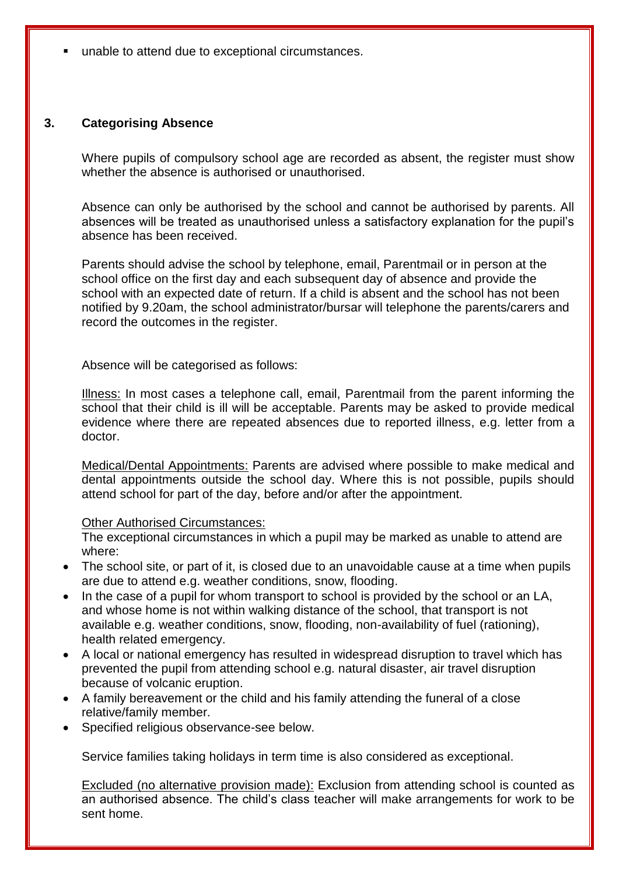unable to attend due to exceptional circumstances.

## **3. Categorising Absence**

Where pupils of compulsory school age are recorded as absent, the register must show whether the absence is authorised or unauthorised.

Absence can only be authorised by the school and cannot be authorised by parents. All absences will be treated as unauthorised unless a satisfactory explanation for the pupil's absence has been received.

Parents should advise the school by telephone, email, Parentmail or in person at the school office on the first day and each subsequent day of absence and provide the school with an expected date of return. If a child is absent and the school has not been notified by 9.20am, the school administrator/bursar will telephone the parents/carers and record the outcomes in the register.

Absence will be categorised as follows:

Illness: In most cases a telephone call, email, Parentmail from the parent informing the school that their child is ill will be acceptable. Parents may be asked to provide medical evidence where there are repeated absences due to reported illness, e.g. letter from a doctor.

Medical/Dental Appointments: Parents are advised where possible to make medical and dental appointments outside the school day. Where this is not possible, pupils should attend school for part of the day, before and/or after the appointment.

## Other Authorised Circumstances:

The exceptional circumstances in which a pupil may be marked as unable to attend are where:

- The school site, or part of it, is closed due to an unavoidable cause at a time when pupils are due to attend e.g. weather conditions, snow, flooding.
- In the case of a pupil for whom transport to school is provided by the school or an LA, and whose home is not within walking distance of the school, that transport is not available e.g. weather conditions, snow, flooding, non-availability of fuel (rationing), health related emergency.
- A local or national emergency has resulted in widespread disruption to travel which has prevented the pupil from attending school e.g. natural disaster, air travel disruption because of volcanic eruption.
- A family bereavement or the child and his family attending the funeral of a close relative/family member.
- Specified religious observance-see below.

Service families taking holidays in term time is also considered as exceptional.

Excluded (no alternative provision made): Exclusion from attending school is counted as an authorised absence. The child's class teacher will make arrangements for work to be sent home.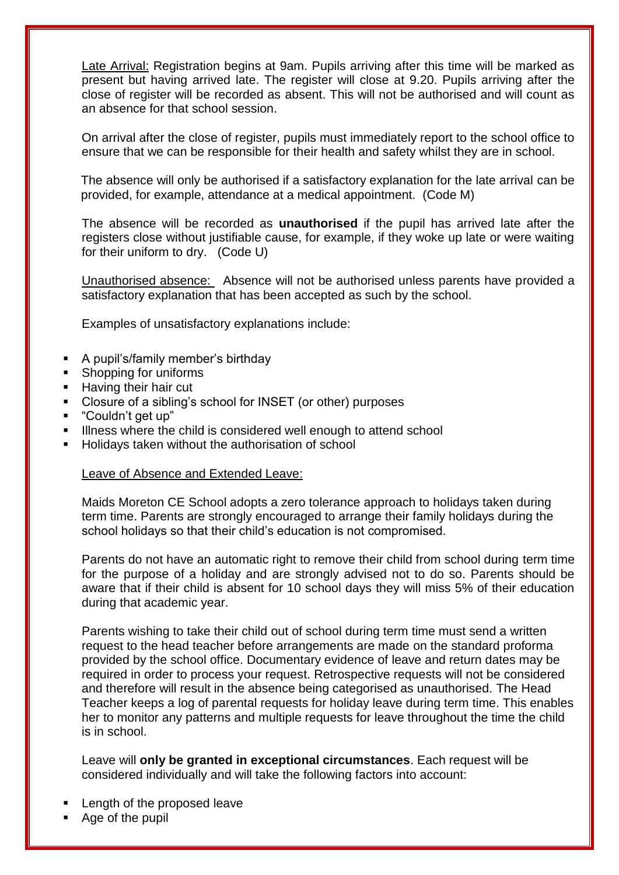Late Arrival: Registration begins at 9am. Pupils arriving after this time will be marked as present but having arrived late. The register will close at 9.20. Pupils arriving after the close of register will be recorded as absent. This will not be authorised and will count as an absence for that school session.

On arrival after the close of register, pupils must immediately report to the school office to ensure that we can be responsible for their health and safety whilst they are in school.

The absence will only be authorised if a satisfactory explanation for the late arrival can be provided, for example, attendance at a medical appointment. (Code M)

The absence will be recorded as **unauthorised** if the pupil has arrived late after the registers close without justifiable cause, for example, if they woke up late or were waiting for their uniform to dry. (Code U)

Unauthorised absence: Absence will not be authorised unless parents have provided a satisfactory explanation that has been accepted as such by the school.

Examples of unsatisfactory explanations include:

- A pupil's/family member's birthday
- Shopping for uniforms
- **Having their hair cut**
- Closure of a sibling's school for INSET (or other) purposes
- "Couldn't get up"
- Illness where the child is considered well enough to attend school
- Holidays taken without the authorisation of school

## Leave of Absence and Extended Leave:

Maids Moreton CE School adopts a zero tolerance approach to holidays taken during term time. Parents are strongly encouraged to arrange their family holidays during the school holidays so that their child's education is not compromised.

Parents do not have an automatic right to remove their child from school during term time for the purpose of a holiday and are strongly advised not to do so. Parents should be aware that if their child is absent for 10 school days they will miss 5% of their education during that academic year.

Parents wishing to take their child out of school during term time must send a written request to the head teacher before arrangements are made on the standard proforma provided by the school office. Documentary evidence of leave and return dates may be required in order to process your request. Retrospective requests will not be considered and therefore will result in the absence being categorised as unauthorised. The Head Teacher keeps a log of parental requests for holiday leave during term time. This enables her to monitor any patterns and multiple requests for leave throughout the time the child is in school.

Leave will **only be granted in exceptional circumstances**. Each request will be considered individually and will take the following factors into account:

- Length of the proposed leave
- Age of the pupil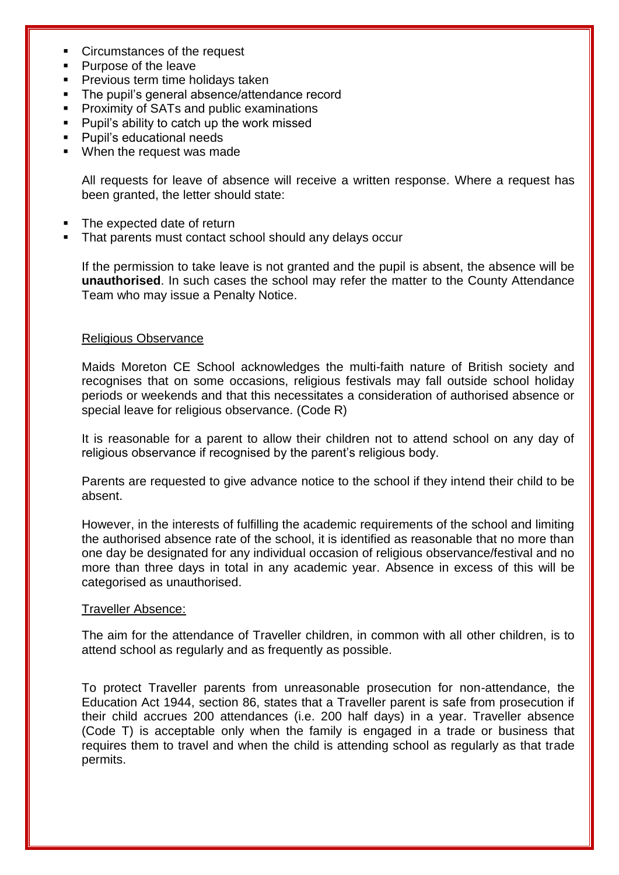- Circumstances of the request
- Purpose of the leave
- **Previous term time holidays taken**
- The pupil's general absence/attendance record
- Proximity of SATs and public examinations
- Pupil's ability to catch up the work missed
- Pupil's educational needs
- **When the request was made**

All requests for leave of absence will receive a written response. Where a request has been granted, the letter should state:

- The expected date of return
- That parents must contact school should any delays occur

If the permission to take leave is not granted and the pupil is absent, the absence will be **unauthorised**. In such cases the school may refer the matter to the County Attendance Team who may issue a Penalty Notice.

## Religious Observance

Maids Moreton CE School acknowledges the multi-faith nature of British society and recognises that on some occasions, religious festivals may fall outside school holiday periods or weekends and that this necessitates a consideration of authorised absence or special leave for religious observance. (Code R)

It is reasonable for a parent to allow their children not to attend school on any day of religious observance if recognised by the parent's religious body.

Parents are requested to give advance notice to the school if they intend their child to be absent.

However, in the interests of fulfilling the academic requirements of the school and limiting the authorised absence rate of the school, it is identified as reasonable that no more than one day be designated for any individual occasion of religious observance/festival and no more than three days in total in any academic year. Absence in excess of this will be categorised as unauthorised.

## Traveller Absence:

The aim for the attendance of Traveller children, in common with all other children, is to attend school as regularly and as frequently as possible.

To protect Traveller parents from unreasonable prosecution for non-attendance, the Education Act 1944, section 86, states that a Traveller parent is safe from prosecution if their child accrues 200 attendances (i.e. 200 half days) in a year. Traveller absence (Code T) is acceptable only when the family is engaged in a trade or business that requires them to travel and when the child is attending school as regularly as that trade permits.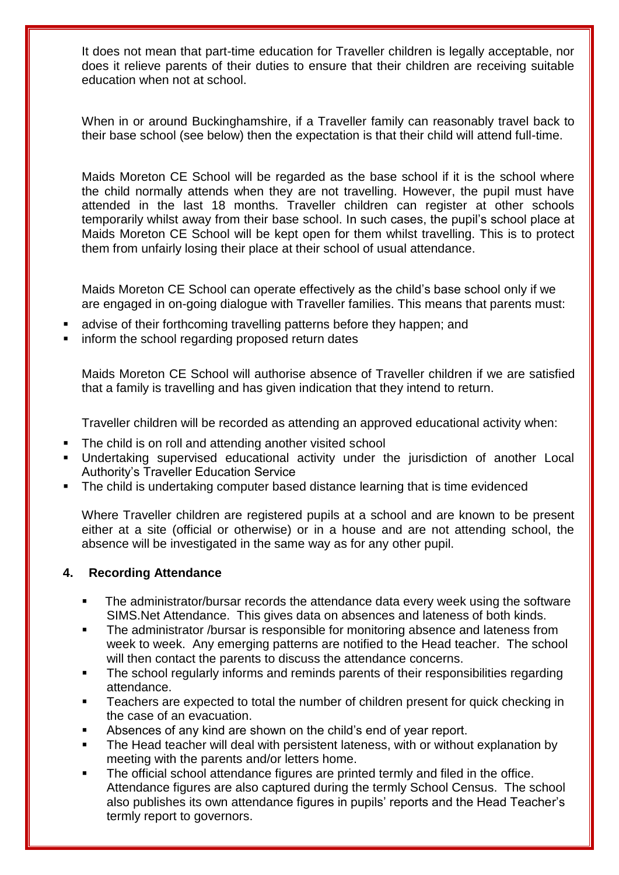It does not mean that part-time education for Traveller children is legally acceptable, nor does it relieve parents of their duties to ensure that their children are receiving suitable education when not at school.

When in or around Buckinghamshire, if a Traveller family can reasonably travel back to their base school (see below) then the expectation is that their child will attend full-time.

Maids Moreton CE School will be regarded as the base school if it is the school where the child normally attends when they are not travelling. However, the pupil must have attended in the last 18 months. Traveller children can register at other schools temporarily whilst away from their base school. In such cases, the pupil's school place at Maids Moreton CE School will be kept open for them whilst travelling. This is to protect them from unfairly losing their place at their school of usual attendance.

Maids Moreton CE School can operate effectively as the child's base school only if we are engaged in on-going dialogue with Traveller families. This means that parents must:

- advise of their forthcoming travelling patterns before they happen; and
- inform the school regarding proposed return dates

Maids Moreton CE School will authorise absence of Traveller children if we are satisfied that a family is travelling and has given indication that they intend to return.

Traveller children will be recorded as attending an approved educational activity when:

- The child is on roll and attending another visited school
- Undertaking supervised educational activity under the jurisdiction of another Local Authority's Traveller Education Service
- The child is undertaking computer based distance learning that is time evidenced

Where Traveller children are registered pupils at a school and are known to be present either at a site (official or otherwise) or in a house and are not attending school, the absence will be investigated in the same way as for any other pupil.

# **4. Recording Attendance**

- The administrator/bursar records the attendance data every week using the software SIMS.Net Attendance. This gives data on absences and lateness of both kinds.
- The administrator /bursar is responsible for monitoring absence and lateness from week to week. Any emerging patterns are notified to the Head teacher. The school will then contact the parents to discuss the attendance concerns.
- The school regularly informs and reminds parents of their responsibilities regarding attendance.
- Teachers are expected to total the number of children present for quick checking in the case of an evacuation.
- Absences of any kind are shown on the child's end of year report.
- The Head teacher will deal with persistent lateness, with or without explanation by meeting with the parents and/or letters home.
- The official school attendance figures are printed termly and filed in the office. Attendance figures are also captured during the termly School Census. The school also publishes its own attendance figures in pupils' reports and the Head Teacher's termly report to governors.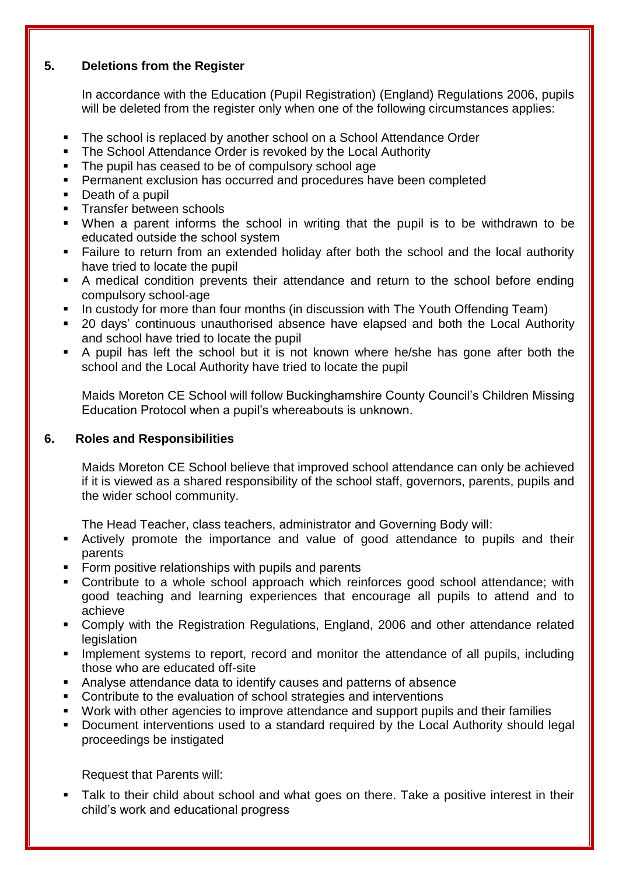# **5. Deletions from the Register**

In accordance with the Education (Pupil Registration) (England) Regulations 2006, pupils will be deleted from the register only when one of the following circumstances applies:

- The school is replaced by another school on a School Attendance Order
- The School Attendance Order is revoked by the Local Authority
- The pupil has ceased to be of compulsory school age
- **Permanent exclusion has occurred and procedures have been completed**
- Death of a pupil
- **Transfer between schools**
- When a parent informs the school in writing that the pupil is to be withdrawn to be educated outside the school system
- Failure to return from an extended holiday after both the school and the local authority have tried to locate the pupil
- A medical condition prevents their attendance and return to the school before ending compulsory school-age
- In custody for more than four months (in discussion with The Youth Offending Team)
- 20 days' continuous unauthorised absence have elapsed and both the Local Authority and school have tried to locate the pupil
- A pupil has left the school but it is not known where he/she has gone after both the school and the Local Authority have tried to locate the pupil

Maids Moreton CE School will follow Buckinghamshire County Council's Children Missing Education Protocol when a pupil's whereabouts is unknown.

# **6. Roles and Responsibilities**

Maids Moreton CE School believe that improved school attendance can only be achieved if it is viewed as a shared responsibility of the school staff, governors, parents, pupils and the wider school community.

The Head Teacher, class teachers, administrator and Governing Body will:

- Actively promote the importance and value of good attendance to pupils and their parents
- **Form positive relationships with pupils and parents**
- **Contribute to a whole school approach which reinforces good school attendance; with** good teaching and learning experiences that encourage all pupils to attend and to achieve
- Comply with the Registration Regulations, England, 2006 and other attendance related legislation
- **IMPLEMENT IMPLEMENT IS NOTE 10.5 THE IMPLEM** Implement systems to report, record and monitor the attendance of all pupils, including those who are educated off-site
- Analyse attendance data to identify causes and patterns of absence
- Contribute to the evaluation of school strategies and interventions
- Work with other agencies to improve attendance and support pupils and their families
- **Document interventions used to a standard required by the Local Authority should legal** proceedings be instigated

Request that Parents will:

 Talk to their child about school and what goes on there. Take a positive interest in their child's work and educational progress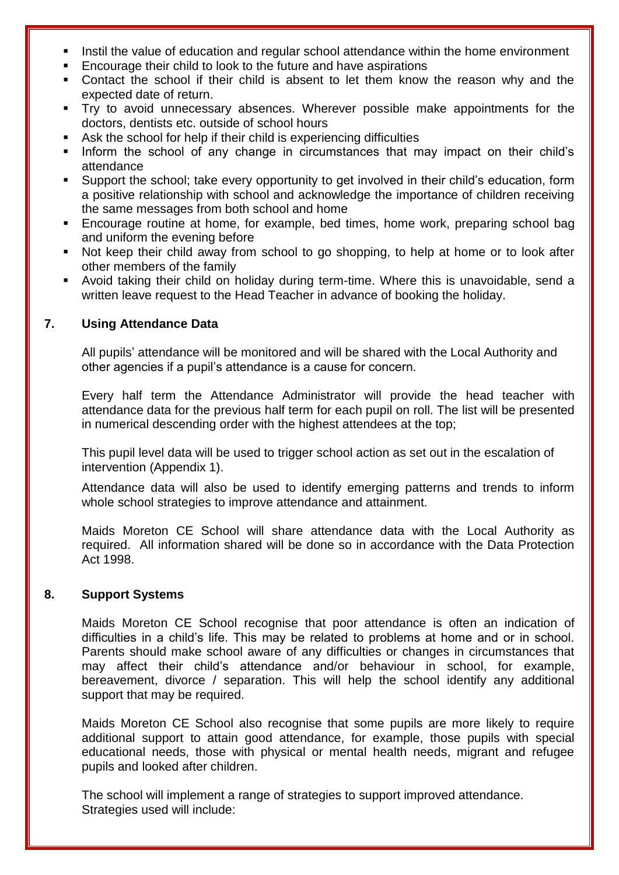- Instil the value of education and regular school attendance within the home environment
- Encourage their child to look to the future and have aspirations
- Contact the school if their child is absent to let them know the reason why and the expected date of return.
- Try to avoid unnecessary absences. Wherever possible make appointments for the doctors, dentists etc. outside of school hours
- Ask the school for help if their child is experiencing difficulties
- Inform the school of any change in circumstances that may impact on their child's attendance
- Support the school; take every opportunity to get involved in their child's education, form a positive relationship with school and acknowledge the importance of children receiving the same messages from both school and home
- Encourage routine at home, for example, bed times, home work, preparing school bag and uniform the evening before
- Not keep their child away from school to go shopping, to help at home or to look after other members of the family
- Avoid taking their child on holiday during term-time. Where this is unavoidable, send a written leave request to the Head Teacher in advance of booking the holiday.

# **7. Using Attendance Data**

All pupils' attendance will be monitored and will be shared with the Local Authority and other agencies if a pupil's attendance is a cause for concern.

Every half term the Attendance Administrator will provide the head teacher with attendance data for the previous half term for each pupil on roll. The list will be presented in numerical descending order with the highest attendees at the top;

This pupil level data will be used to trigger school action as set out in the escalation of intervention (Appendix 1).

Attendance data will also be used to identify emerging patterns and trends to inform whole school strategies to improve attendance and attainment.

Maids Moreton CE School will share attendance data with the Local Authority as required. All information shared will be done so in accordance with the Data Protection Act 1998.

# **8. Support Systems**

Maids Moreton CE School recognise that poor attendance is often an indication of difficulties in a child's life. This may be related to problems at home and or in school. Parents should make school aware of any difficulties or changes in circumstances that may affect their child's attendance and/or behaviour in school, for example, bereavement, divorce / separation. This will help the school identify any additional support that may be required.

Maids Moreton CE School also recognise that some pupils are more likely to require additional support to attain good attendance, for example, those pupils with special educational needs, those with physical or mental health needs, migrant and refugee pupils and looked after children.

The school will implement a range of strategies to support improved attendance. Strategies used will include: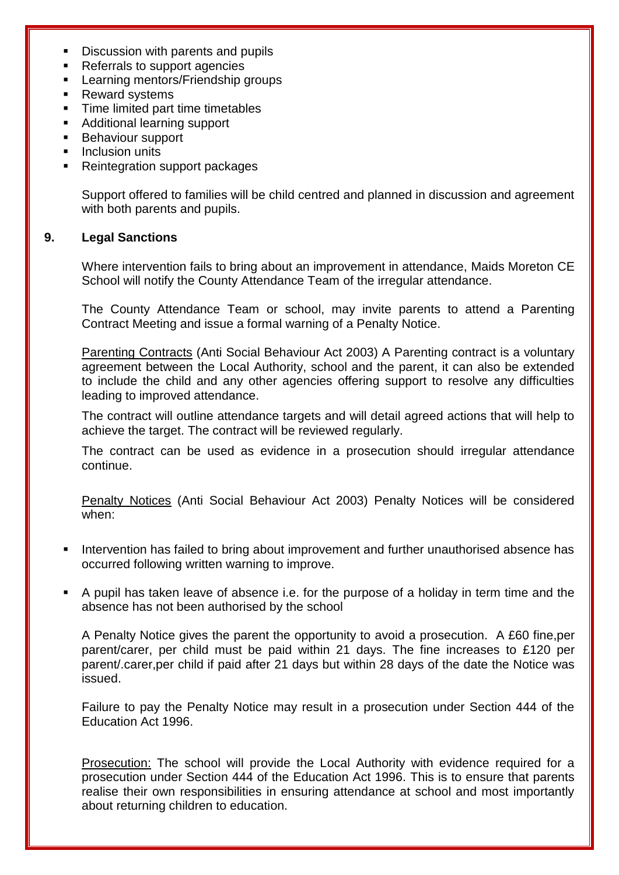- Discussion with parents and pupils
- Referrals to support agencies
- Learning mentors/Friendship groups
- Reward systems
- Time limited part time timetables
- Additional learning support
- Behaviour support
- Inclusion units
- Reintegration support packages

Support offered to families will be child centred and planned in discussion and agreement with both parents and pupils.

## **9. Legal Sanctions**

Where intervention fails to bring about an improvement in attendance, Maids Moreton CE School will notify the County Attendance Team of the irregular attendance.

The County Attendance Team or school, may invite parents to attend a Parenting Contract Meeting and issue a formal warning of a Penalty Notice.

Parenting Contracts (Anti Social Behaviour Act 2003) A Parenting contract is a voluntary agreement between the Local Authority, school and the parent, it can also be extended to include the child and any other agencies offering support to resolve any difficulties leading to improved attendance.

The contract will outline attendance targets and will detail agreed actions that will help to achieve the target. The contract will be reviewed regularly.

The contract can be used as evidence in a prosecution should irregular attendance continue.

Penalty Notices (Anti Social Behaviour Act 2003) Penalty Notices will be considered when:

- Intervention has failed to bring about improvement and further unauthorised absence has occurred following written warning to improve.
- A pupil has taken leave of absence i.e. for the purpose of a holiday in term time and the absence has not been authorised by the school

A Penalty Notice gives the parent the opportunity to avoid a prosecution. A £60 fine,per parent/carer, per child must be paid within 21 days. The fine increases to £120 per parent/.carer,per child if paid after 21 days but within 28 days of the date the Notice was issued.

Failure to pay the Penalty Notice may result in a prosecution under Section 444 of the Education Act 1996.

Prosecution: The school will provide the Local Authority with evidence required for a prosecution under Section 444 of the Education Act 1996. This is to ensure that parents realise their own responsibilities in ensuring attendance at school and most importantly about returning children to education.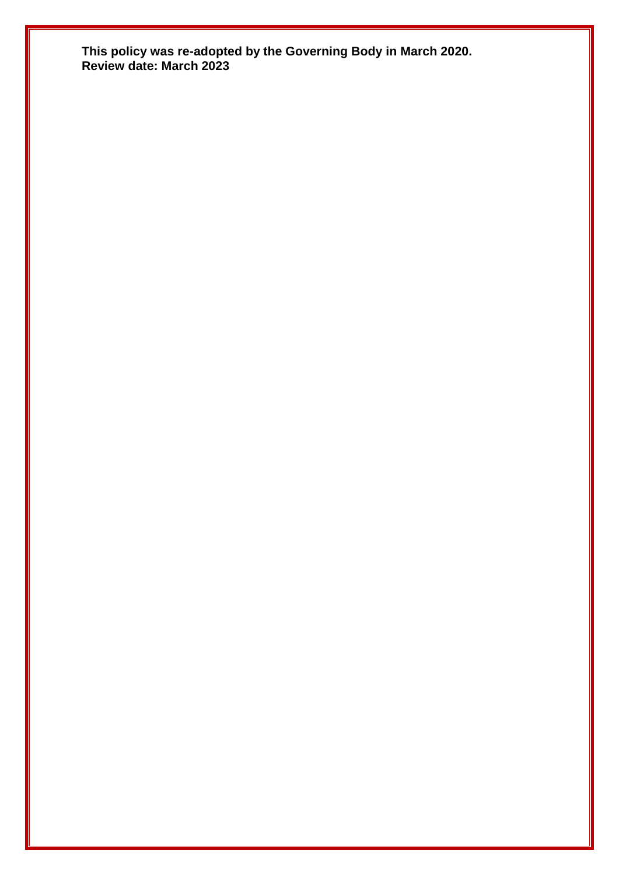**This policy was re-adopted by the Governing Body in March 2020. Review date: March 2023**